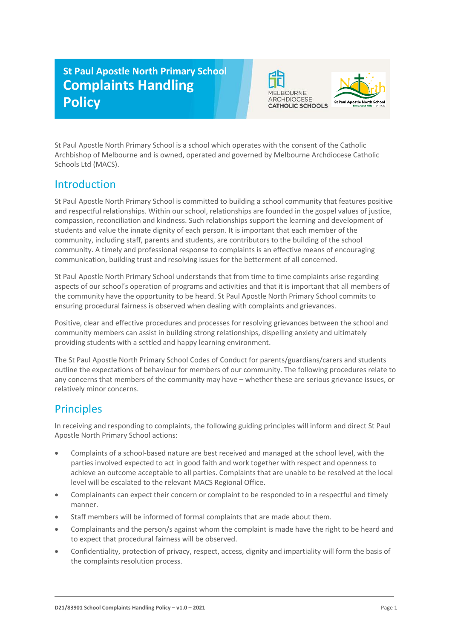# **St Paul Apostle North Primary School Complaints Handling Policy**





St Paul Apostle North Primary School is a school which operates with the consent of the Catholic Archbishop of Melbourne and is owned, operated and governed by Melbourne Archdiocese Catholic Schools Ltd (MACS).

### Introduction

St Paul Apostle North Primary School is committed to building a school community that features positive and respectful relationships. Within our school, relationships are founded in the gospel values of justice, compassion, reconciliation and kindness. Such relationships support the learning and development of students and value the innate dignity of each person. It is important that each member of the community, including staff, parents and students, are contributors to the building of the school community. A timely and professional response to complaints is an effective means of encouraging communication, building trust and resolving issues for the betterment of all concerned.

St Paul Apostle North Primary School understands that from time to time complaints arise regarding aspects of our school's operation of programs and activities and that it is important that all members of the community have the opportunity to be heard. St Paul Apostle North Primary School commits to ensuring procedural fairness is observed when dealing with complaints and grievances.

Positive, clear and effective procedures and processes for resolving grievances between the school and community members can assist in building strong relationships, dispelling anxiety and ultimately providing students with a settled and happy learning environment.

The St Paul Apostle North Primary School Codes of Conduct for parents/guardians/carers and students outline the expectations of behaviour for members of our community. The following procedures relate to any concerns that members of the community may have – whether these are serious grievance issues, or relatively minor concerns.

### **Principles**

In receiving and responding to complaints, the following guiding principles will inform and direct St Paul Apostle North Primary School actions:

- Complaints of a school-based nature are best received and managed at the school level, with the parties involved expected to act in good faith and work together with respect and openness to achieve an outcome acceptable to all parties. Complaints that are unable to be resolved at the local level will be escalated to the relevant MACS Regional Office.
- Complainants can expect their concern or complaint to be responded to in a respectful and timely manner.
- Staff members will be informed of formal complaints that are made about them.
- Complainants and the person/s against whom the complaint is made have the right to be heard and to expect that procedural fairness will be observed.
- Confidentiality, protection of privacy, respect, access, dignity and impartiality will form the basis of the complaints resolution process.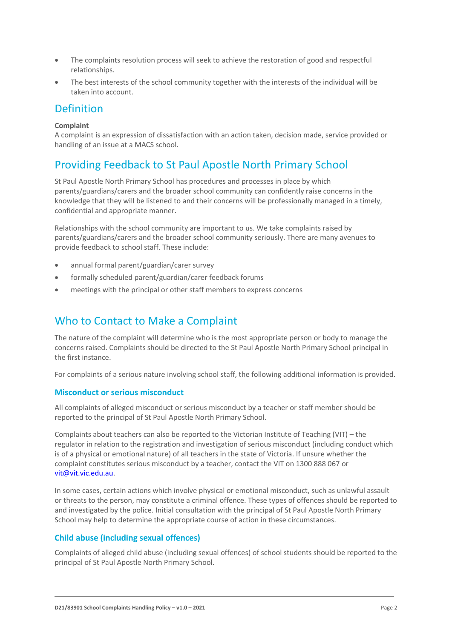- The complaints resolution process will seek to achieve the restoration of good and respectful relationships.
- The best interests of the school community together with the interests of the individual will be taken into account.

### Definition

#### **Complaint**

A complaint is an expression of dissatisfaction with an action taken, decision made, service provided or handling of an issue at a MACS school.

### Providing Feedback to St Paul Apostle North Primary School

St Paul Apostle North Primary School has procedures and processes in place by which parents/guardians/carers and the broader school community can confidently raise concerns in the knowledge that they will be listened to and their concerns will be professionally managed in a timely, confidential and appropriate manner.

Relationships with the school community are important to us. We take complaints raised by parents/guardians/carers and the broader school community seriously. There are many avenues to provide feedback to school staff. These include:

- annual formal parent/guardian/carer survey
- formally scheduled parent/guardian/carer feedback forums
- meetings with the principal or other staff members to express concerns

### Who to Contact to Make a Complaint

The nature of the complaint will determine who is the most appropriate person or body to manage the concerns raised. Complaints should be directed to the St Paul Apostle North Primary School principal in the first instance.

For complaints of a serious nature involving school staff, the following additional information is provided.

#### **Misconduct or serious misconduct**

All complaints of alleged misconduct or serious misconduct by a teacher or staff member should be reported to the principal of St Paul Apostle North Primary School.

Complaints about teachers can also be reported to the Victorian Institute of Teaching (VIT) – the regulator in relation to the registration and investigation of serious misconduct (including conduct which is of a physical or emotional nature) of all teachers in the state of Victoria. If unsure whether the complaint constitutes serious misconduct by a teacher, contact the VIT on 1300 888 067 or [vit@vit.vic.edu.au.](mailto:vit@vit.vic.edu.au)

In some cases, certain actions which involve physical or emotional misconduct, such as unlawful assault or threats to the person, may constitute a criminal offence. These types of offences should be reported to and investigated by the police. Initial consultation with the principal of St Paul Apostle North Primary School may help to determine the appropriate course of action in these circumstances.

### **Child abuse (including sexual offences)**

Complaints of alleged child abuse (including sexual offences) of school students should be reported to the principal of St Paul Apostle North Primary School.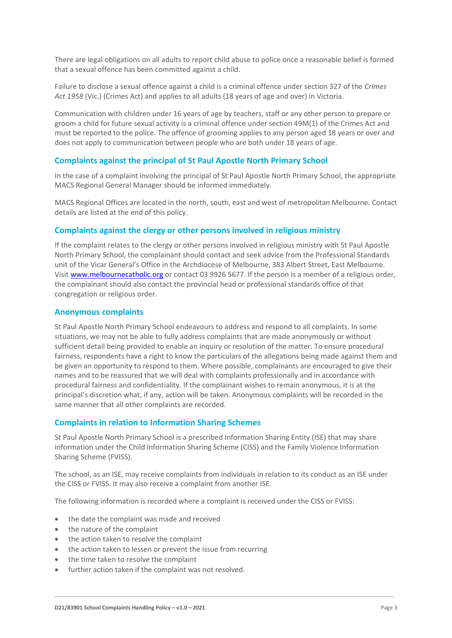There are legal obligations on all adults to report child abuse to police once a reasonable belief is formed that a sexual offence has been committed against a child.

Failure to disclose a sexual offence against a child is a criminal offence under section 327 of the *Crimes Act 1958* (Vic.) (Crimes Act) and applies to all adults (18 years of age and over) in Victoria.

Communication with children under 16 years of age by teachers, staff or any other person to prepare or groom a child for future sexual activity is a criminal offence under section 49M(1) of the Crimes Act and must be reported to the police. The offence of grooming applies to any person aged 18 years or over and does not apply to communication between people who are both under 18 years of age.

#### **Complaints against the principal of St Paul Apostle North Primary School**

In the case of a complaint involving the principal of St Paul Apostle North Primary School, the appropriate MACS Regional General Manager should be informed immediately.

MACS Regional Offices are located in the north, south, east and west of metropolitan Melbourne. Contact details are listed at the end of this policy.

#### **Complaints against the clergy or other persons involved in religious ministry**

If the complaint relates to the clergy or other persons involved in religious ministry with St Paul Apostle North Primary School, the complainant should contact and seek advice from the Professional Standards unit of the Vicar General's Office in the Archdiocese of Melbourne, 383 Albert Street, East Melbourne. Visit [www.melbournecatholic.org](http://www.melbournecatholic.org/) or contact 03 9926 5677. If the person is a member of a religious order, the complainant should also contact the provincial head or professional standards office of that congregation or religious order.

#### **Anonymous complaints**

St Paul Apostle North Primary School endeavours to address and respond to all complaints. In some situations, we may not be able to fully address complaints that are made anonymously or without sufficient detail being provided to enable an inquiry or resolution of the matter. To ensure procedural fairness, respondents have a right to know the particulars of the allegations being made against them and be given an opportunity to respond to them. Where possible, complainants are encouraged to give their names and to be reassured that we will deal with complaints professionally and in accordance with procedural fairness and confidentiality. If the complainant wishes to remain anonymous, it is at the principal's discretion what, if any, action will be taken. Anonymous complaints will be recorded in the same manner that all other complaints are recorded.

#### **Complaints in relation to Information Sharing Schemes**

St Paul Apostle North Primary School is a prescribed Information Sharing Entity (ISE) that may share information under the Child Information Sharing Scheme (CISS) and the Family Violence Information Sharing Scheme (FVISS).

The school, as an ISE, may receive complaints from individuals in relation to its conduct as an ISE under the CISS or FVISS. It may also receive a complaint from another ISE.

The following information is recorded where a complaint is received under the CISS or FVISS:

- the date the complaint was made and received
- the nature of the complaint
- the action taken to resolve the complaint
- the action taken to lessen or prevent the issue from recurring
- the time taken to resolve the complaint
- further action taken if the complaint was not resolved.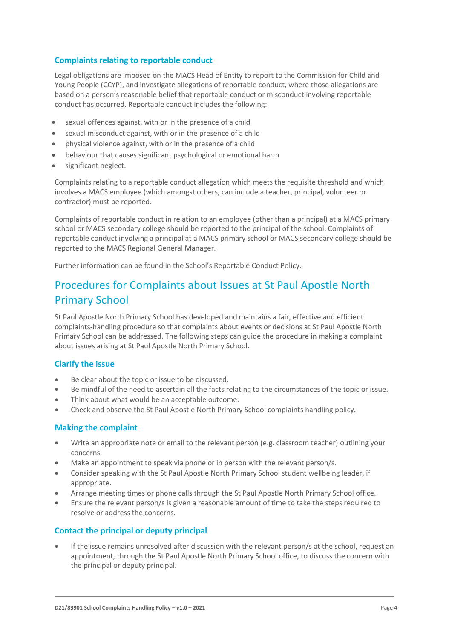### **Complaints relating to reportable conduct**

Legal obligations are imposed on the MACS Head of Entity to report to the Commission for Child and Young People (CCYP), and investigate allegations of reportable conduct, where those allegations are based on a person's reasonable belief that reportable conduct or misconduct involving reportable conduct has occurred. Reportable conduct includes the following:

- sexual offences against, with or in the presence of a child
- sexual misconduct against, with or in the presence of a child
- physical violence against, with or in the presence of a child
- behaviour that causes significant psychological or emotional harm
- significant neglect.

Complaints relating to a reportable conduct allegation which meets the requisite threshold and which involves a MACS employee (which amongst others, can include a teacher, principal, volunteer or contractor) must be reported.

Complaints of reportable conduct in relation to an employee (other than a principal) at a MACS primary school or MACS secondary college should be reported to the principal of the school. Complaints of reportable conduct involving a principal at a MACS primary school or MACS secondary college should be reported to the MACS Regional General Manager.

Further information can be found in the School's Reportable Conduct Policy.

### Procedures for Complaints about Issues at St Paul Apostle North Primary School

St Paul Apostle North Primary School has developed and maintains a fair, effective and efficient complaints-handling procedure so that complaints about events or decisions at St Paul Apostle North Primary School can be addressed. The following steps can guide the procedure in making a complaint about issues arising at St Paul Apostle North Primary School.

### **Clarify the issue**

- Be clear about the topic or issue to be discussed.
- Be mindful of the need to ascertain all the facts relating to the circumstances of the topic or issue.
- Think about what would be an acceptable outcome.
- Check and observe the St Paul Apostle North Primary School complaints handling policy.

#### **Making the complaint**

- Write an appropriate note or email to the relevant person (e.g. classroom teacher) outlining your concerns.
- Make an appointment to speak via phone or in person with the relevant person/s.
- Consider speaking with the St Paul Apostle North Primary School student wellbeing leader, if appropriate.
- Arrange meeting times or phone calls through the St Paul Apostle North Primary School office.
- Ensure the relevant person/s is given a reasonable amount of time to take the steps required to resolve or address the concerns.

#### **Contact the principal or deputy principal**

If the issue remains unresolved after discussion with the relevant person/s at the school, request an appointment, through the St Paul Apostle North Primary School office, to discuss the concern with the principal or deputy principal.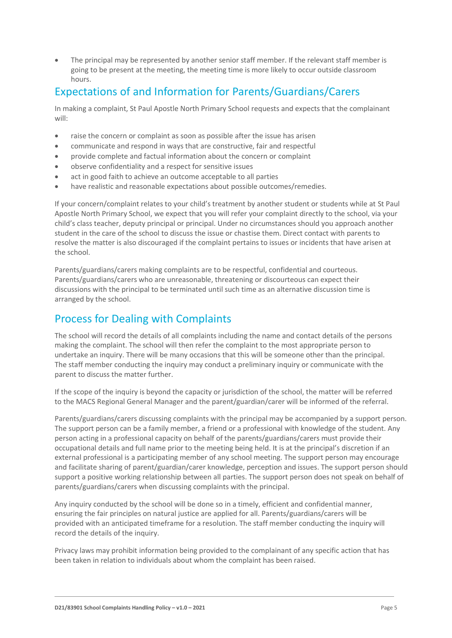The principal may be represented by another senior staff member. If the relevant staff member is going to be present at the meeting, the meeting time is more likely to occur outside classroom hours.

### Expectations of and Information for Parents/Guardians/Carers

In making a complaint, St Paul Apostle North Primary School requests and expects that the complainant will:

- raise the concern or complaint as soon as possible after the issue has arisen
- communicate and respond in ways that are constructive, fair and respectful
- provide complete and factual information about the concern or complaint
- observe confidentiality and a respect for sensitive issues
- act in good faith to achieve an outcome acceptable to all parties
- have realistic and reasonable expectations about possible outcomes/remedies.

If your concern/complaint relates to your child's treatment by another student or students while at St Paul Apostle North Primary School, we expect that you will refer your complaint directly to the school, via your child's class teacher, deputy principal or principal. Under no circumstances should you approach another student in the care of the school to discuss the issue or chastise them. Direct contact with parents to resolve the matter is also discouraged if the complaint pertains to issues or incidents that have arisen at the school.

Parents/guardians/carers making complaints are to be respectful, confidential and courteous. Parents/guardians/carers who are unreasonable, threatening or discourteous can expect their discussions with the principal to be terminated until such time as an alternative discussion time is arranged by the school.

## Process for Dealing with Complaints

The school will record the details of all complaints including the name and contact details of the persons making the complaint. The school will then refer the complaint to the most appropriate person to undertake an inquiry. There will be many occasions that this will be someone other than the principal. The staff member conducting the inquiry may conduct a preliminary inquiry or communicate with the parent to discuss the matter further.

If the scope of the inquiry is beyond the capacity or jurisdiction of the school, the matter will be referred to the MACS Regional General Manager and the parent/guardian/carer will be informed of the referral.

Parents/guardians/carers discussing complaints with the principal may be accompanied by a support person. The support person can be a family member, a friend or a professional with knowledge of the student. Any person acting in a professional capacity on behalf of the parents/guardians/carers must provide their occupational details and full name prior to the meeting being held. It is at the principal's discretion if an external professional is a participating member of any school meeting. The support person may encourage and facilitate sharing of parent/guardian/carer knowledge, perception and issues. The support person should support a positive working relationship between all parties. The support person does not speak on behalf of parents/guardians/carers when discussing complaints with the principal.

Any inquiry conducted by the school will be done so in a timely, efficient and confidential manner, ensuring the fair principles on natural justice are applied for all. Parents/guardians/carers will be provided with an anticipated timeframe for a resolution. The staff member conducting the inquiry will record the details of the inquiry.

Privacy laws may prohibit information being provided to the complainant of any specific action that has been taken in relation to individuals about whom the complaint has been raised.